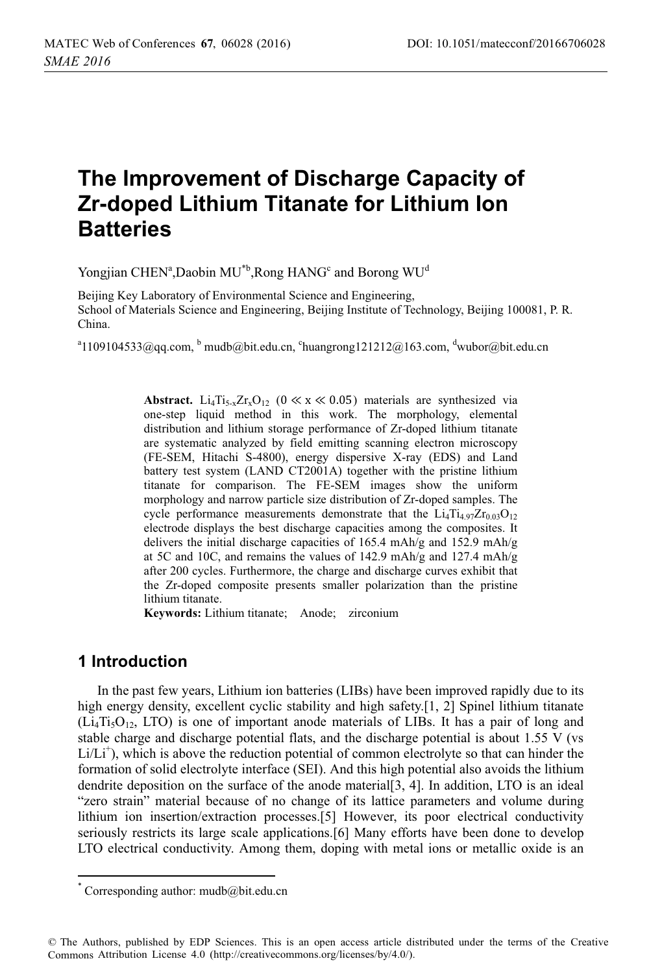# **The Improvement of Discharge Capacity of Zr-doped Lithium Titanate for Lithium Ion Batteries**

Yongjian CHEN<sup>a</sup>,Daobin MU<sup>\*b</sup>,Rong HANG<sup>c</sup> and Borong WU<sup>d</sup>

Beijing Key Laboratory of Environmental Science and Engineering, School of Materials Science and Engineering, Beijing Institute of Technology, Beijing 100081, P. R. China.

 $^{\text{a}}$ 1109104533@qq.com,  $^{\text{b}}$  mudb@bit.edu.cn,  $^{\text{c}}$ huangrong121212@163.com,  $^{\text{d}}$ wubor@bit.edu.cn

**Abstract.** Li<sub>4</sub>Ti<sub>5-x</sub>Zr<sub>x</sub>O<sub>12</sub> ( $0 \ll x \ll 0.05$ ) materials are synthesized via one-step liquid method in this work. The morphology, elemental distribution and lithium storage performance of Zr-doped lithium titanate are systematic analyzed by field emitting scanning electron microscopy (FE-SEM, Hitachi S-4800), energy dispersive X-ray (EDS) and Land battery test system (LAND CT2001A) together with the pristine lithium titanate for comparison. The FE-SEM images show the uniform morphology and narrow particle size distribution of Zr-doped samples. The cycle performance measurements demonstrate that the  $Li_4Ti_{4.97}Zr_{0.03}O_{12}$ electrode displays the best discharge capacities among the composites. It delivers the initial discharge capacities of 165.4 mAh/g and 152.9 mAh/g at 5C and 10C, and remains the values of 142.9 mAh/g and 127.4 mAh/g after 200 cycles. Furthermore, the charge and discharge curves exhibit that the Zr-doped composite presents smaller polarization than the pristine lithium titanate.

**Keywords:** Lithium titanate; Anode; zirconium

#### **1 Introduction**

------------------------------

In the past few years, Lithium ion batteries (LIBs) have been improved rapidly due to its high energy density, excellent cyclic stability and high safety.<sup>[1, 2]</sup> Spinel lithium titanate  $(Li_4Ti_5O_{12}$ , LTO) is one of important anode materials of LIBs. It has a pair of long and stable charge and discharge potential flats, and the discharge potential is about 1.55 V (vs Li/Li<sup>+</sup>), which is above the reduction potential of common electrolyte so that can hinder the formation of solid electrolyte interface (SEI). And this high potential also avoids the lithium dendrite deposition on the surface of the anode material[3, 4]. In addition, LTO is an ideal "zero strain" material because of no change of its lattice parameters and volume during lithium ion insertion/extraction processes.[5] However, its poor electrical conductivity seriously restricts its large scale applications.[6] Many efforts have been done to develop LTO electrical conductivity. Among them, doping with metal ions or metallic oxide is an

------------------------

<sup>-</sup>-----\* Corresponding author: mudb@bit.edu.cn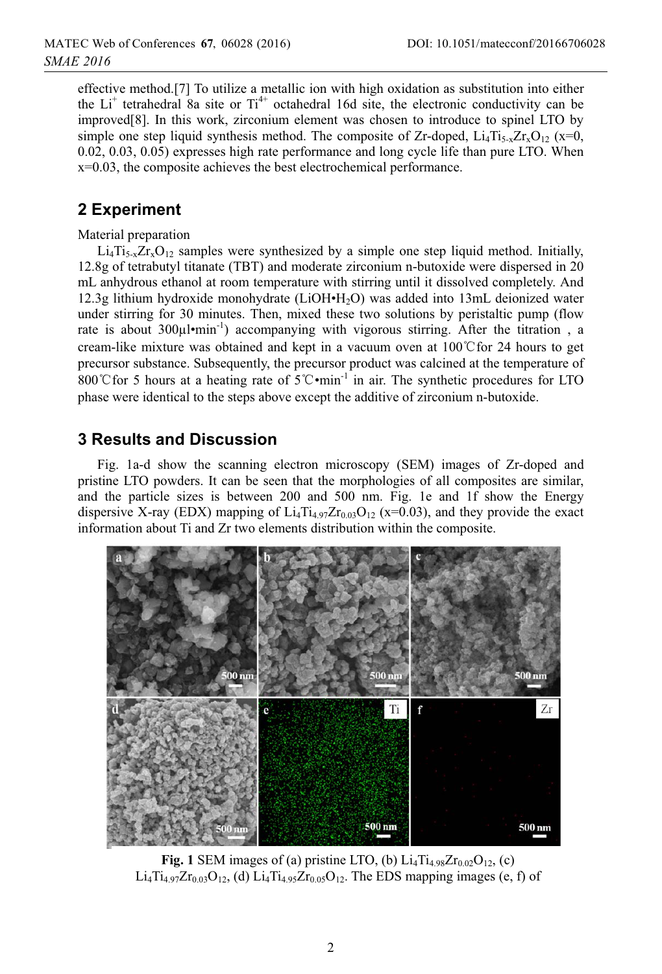effective method.[7] To utilize a metallic ion with high oxidation as substitution into either the  $Li<sup>+</sup>$  tetrahedral 8a site or  $Ti<sup>4+</sup>$  octahedral 16d site, the electronic conductivity can be improved[8]. In this work, zirconium element was chosen to introduce to spinel LTO by simple one step liquid synthesis method. The composite of Zr-doped,  $Li_4Ti_{5-x}Zr_xO_{12}$  (x=0, 0.02, 0.03, 0.05) expresses high rate performance and long cycle life than pure LTO. When x=0.03, the composite achieves the best electrochemical performance.

# **2 Experiment**

Material preparation

 $Li_4Ti_{5x}Zr_xO_{12}$  samples were synthesized by a simple one step liquid method. Initially, 12.8g of tetrabutyl titanate (TBT) and moderate zirconium n-butoxide were dispersed in 20 mL anhydrous ethanol at room temperature with stirring until it dissolved completely. And 12.3g lithium hydroxide monohydrate (LiOH•H2O) was added into 13mL deionized water under stirring for 30 minutes. Then, mixed these two solutions by peristaltic pump (flow rate is about  $300\mu\text{l-min}^{-1}$ ) accompanying with vigorous stirring. After the titration, a cream-like mixture was obtained and kept in a vacuum oven at  $100^{\circ}$  C for 24 hours to get precursor substance. Subsequently, the precursor product was calcined at the temperature of 800°C for 5 hours at a heating rate of  $5^\circ$ C $\cdot$ min<sup>-1</sup> in air. The synthetic procedures for LTO phase were identical to the steps above except the additive of zirconium n-butoxide.

# **3 Results and Discussion**

Fig. 1a-d show the scanning electron microscopy (SEM) images of Zr-doped and pristine LTO powders. It can be seen that the morphologies of all composites are similar, and the particle sizes is between 200 and 500 nm. Fig. 1e and 1f show the Energy dispersive X-ray (EDX) mapping of  $Li_4Ti_{4.97}Zr_{0.03}O_{12}$  (x=0.03), and they provide the exact information about Ti and Zr two elements distribution within the composite.



**Fig. 1** SEM images of (a) pristine LTO, (b)  $Li_4Ti_{4.98}Zr_{0.02}O_{12}$ , (c)  $Li_4Ti_{4.97}Zr_{0.03}O_{12}$ , (d)  $Li_4Ti_{4.95}Zr_{0.05}O_{12}$ . The EDS mapping images (e, f) of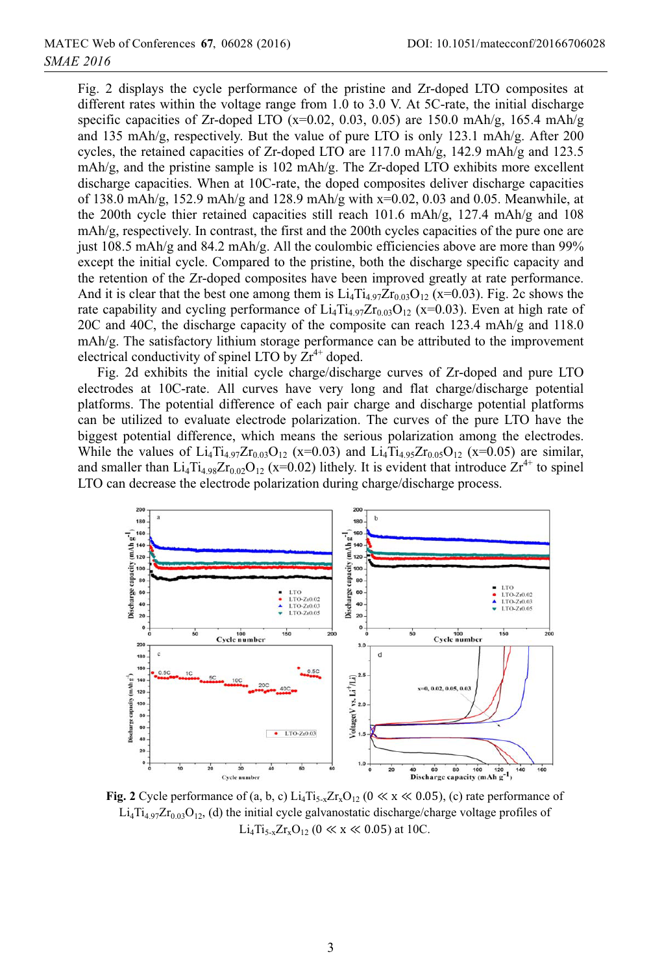Fig. 2 displays the cycle performance of the pristine and Zr-doped LTO composites at different rates within the voltage range from 1.0 to 3.0 V. At 5C-rate, the initial discharge specific capacities of Zr-doped LTO  $(x=0.02, 0.03, 0.05)$  are 150.0 mAh/g, 165.4 mAh/g and 135 mAh/g, respectively. But the value of pure LTO is only 123.1 mAh/g. After 200 cycles, the retained capacities of Zr-doped LTO are 117.0 mAh/g, 142.9 mAh/g and 123.5 mAh/g, and the pristine sample is 102 mAh/g. The Zr-doped LTO exhibits more excellent discharge capacities. When at 10C-rate, the doped composites deliver discharge capacities of 138.0 mAh/g, 152.9 mAh/g and 128.9 mAh/g with x=0.02, 0.03 and 0.05. Meanwhile, at the 200th cycle thier retained capacities still reach 101.6 mAh/g, 127.4 mAh/g and 108 mAh/g, respectively. In contrast, the first and the 200th cycles capacities of the pure one are just 108.5 mAh/g and 84.2 mAh/g. All the coulombic efficiencies above are more than 99% except the initial cycle. Compared to the pristine, both the discharge specific capacity and the retention of the Zr-doped composites have been improved greatly at rate performance. And it is clear that the best one among them is  $Li_4Ti_{4.97}Zr_{0.03}O_{12}$  (x=0.03). Fig. 2c shows the rate capability and cycling performance of  $Li_4Ti_{4.97}Zr_{0.03}O_{12}$  (x=0.03). Even at high rate of 20C and 40C, the discharge capacity of the composite can reach 123.4 mAh/g and 118.0  $mAh/g$ . The satisfactory lithium storage performance can be attributed to the improvement electrical conductivity of spinel LTO by  $Zr^{4+}$  doped.

Fig. 2d exhibits the initial cycle charge/discharge curves of Zr-doped and pure LTO electrodes at 10C-rate. All curves have very long and flat charge/discharge potential platforms. The potential difference of each pair charge and discharge potential platforms can be utilized to evaluate electrode polarization. The curves of the pure LTO have the biggest potential difference, which means the serious polarization among the electrodes. While the values of  $Li_4Ti_{4.97}Zr_{0.03}O_{12}$  (x=0.03) and  $Li_4Ti_{4.95}Zr_{0.05}O_{12}$  (x=0.05) are similar, and smaller than  $Li_4Ti_{4.98}Zr_{0.02}O_{12}$  (x=0.02) lithely. It is evident that introduce  $Zr^{4+}$  to spinel LTO can decrease the electrode polarization during charge/discharge process.



**Fig. 2** Cycle performance of  $(a, b, c)$   $Li_4Ti_{5-x}Zr_xO_{12}$   $(0 \ll x \ll 0.05)$ ,  $(c)$  rate performance of  $Li_4Ti_{4.97}Zr_{0.03}O_{12}$ , (d) the initial cycle galvanostatic discharge/charge voltage profiles of  $Li_4Ti_{5-x}Zr_xO_{12}$  (0  $\ll$  x  $\ll$  0.05) at 10C.